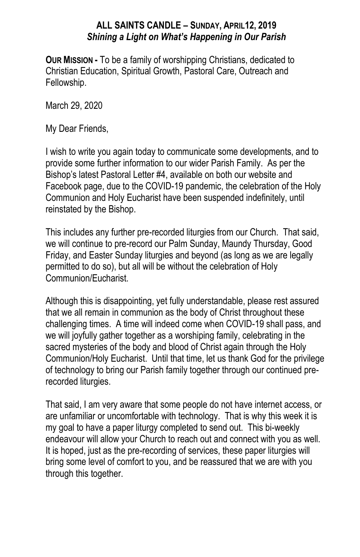## **ALL SAINTS CANDLE – SUNDAY, APRIL12, 2019** *Shining a Light on What's Happening in Our Parish*

**OUR MISSION -** To be a family of worshipping Christians, dedicated to Christian Education, Spiritual Growth, Pastoral Care, Outreach and Fellowship.

March 29, 2020

My Dear Friends,

I wish to write you again today to communicate some developments, and to provide some further information to our wider Parish Family. As per the Bishop's latest Pastoral Letter #4, available on both our website and Facebook page, due to the COVID-19 pandemic, the celebration of the Holy Communion and Holy Eucharist have been suspended indefinitely, until reinstated by the Bishop.

This includes any further pre-recorded liturgies from our Church. That said, we will continue to pre-record our Palm Sunday, Maundy Thursday, Good Friday, and Easter Sunday liturgies and beyond (as long as we are legally permitted to do so), but all will be without the celebration of Holy Communion/Eucharist.

Although this is disappointing, yet fully understandable, please rest assured that we all remain in communion as the body of Christ throughout these challenging times. A time will indeed come when COVID-19 shall pass, and we will joyfully gather together as a worshiping family, celebrating in the sacred mysteries of the body and blood of Christ again through the Holy Communion/Holy Eucharist. Until that time, let us thank God for the privilege of technology to bring our Parish family together through our continued prerecorded liturgies.

That said, I am very aware that some people do not have internet access, or are unfamiliar or uncomfortable with technology. That is why this week it is my goal to have a paper liturgy completed to send out. This bi-weekly endeavour will allow your Church to reach out and connect with you as well. It is hoped, just as the pre-recording of services, these paper liturgies will bring some level of comfort to you, and be reassured that we are with you through this together.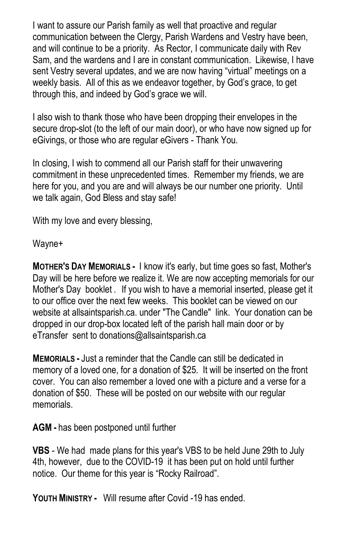I want to assure our Parish family as well that proactive and regular communication between the Clergy, Parish Wardens and Vestry have been, and will continue to be a priority. As Rector, I communicate daily with Rev Sam, and the wardens and I are in constant communication. Likewise, I have sent Vestry several updates, and we are now having "virtual" meetings on a weekly basis. All of this as we endeavor together, by God's grace, to get through this, and indeed by God's grace we will.

I also wish to thank those who have been dropping their envelopes in the secure drop-slot (to the left of our main door), or who have now signed up for eGivings, or those who are regular eGivers - Thank You.

In closing, I wish to commend all our Parish staff for their unwavering commitment in these unprecedented times. Remember my friends, we are here for you, and you are and will always be our number one priority. Until we talk again, God Bless and stay safe!

With my love and every blessing,

Wayne+

**MOTHER'S DAY MEMORIALS -** I know it's early, but time goes so fast, Mother's Day will be here before we realize it. We are now accepting memorials for our Mother's Day booklet . If you wish to have a memorial inserted, please get it to our office over the next few weeks. This booklet can be viewed on our website at allsaintsparish.ca. under "The Candle" link. Your donation can be dropped in our drop-box located left of the parish hall main door or by eTransfer sent to donations@allsaintsparish.ca

**MEMORIALS -** Just a reminder that the Candle can still be dedicated in memory of a loved one, for a donation of \$25. It will be inserted on the front cover. You can also remember a loved one with a picture and a verse for a donation of \$50. These will be posted on our website with our regular memorials.

**AGM -** has been postponed until further

**VBS** - We had made plans for this year's VBS to be held June 29th to July 4th, however, due to the COVID-19 it has been put on hold until further notice. Our theme for this year is "Rocky Railroad".

**YOUTH MINISTRY -** Will resume after Covid -19 has ended.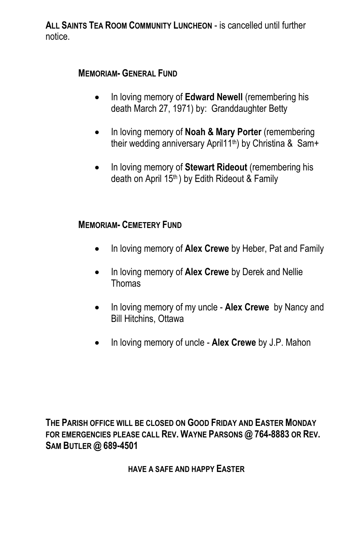**ALL SAINTS TEA ROOM COMMUNITY LUNCHEON** - is cancelled until further notice.

## **MEMORIAM- GENERAL FUND**

- In loving memory of **Edward Newell** (remembering his death March 27, 1971) by: Granddaughter Betty
- In loving memory of **Noah & Mary Porter** (remembering their wedding anniversary April11th) by Christina & Sam+
- In loving memory of **Stewart Rideout** (remembering his death on April 15<sup>th</sup>) by Edith Rideout & Family

## **MEMORIAM- CEMETERY FUND**

- In loving memory of **Alex Crewe** by Heber, Pat and Family
- In loving memory of **Alex Crewe** by Derek and Nellie **Thomas**
- In loving memory of my uncle **Alex Crewe** by Nancy and Bill Hitchins, Ottawa
- In loving memory of uncle **Alex Crewe** by J.P. Mahon

**THE PARISH OFFICE WILL BE CLOSED ON GOOD FRIDAY AND EASTER MONDAY FOR EMERGENCIES PLEASE CALL REV. WAYNE PARSONS @ 764-8883 OR REV. SAM BUTLER @ 689-4501**

**HAVE A SAFE AND HAPPY EASTER**